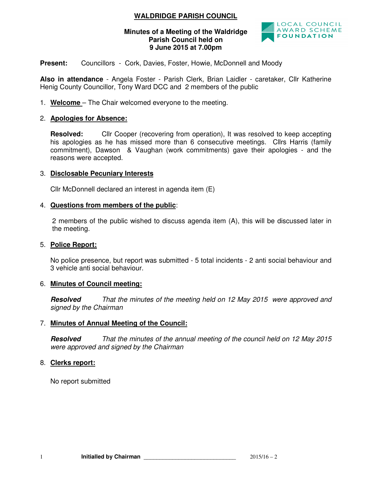# **WALDRIDGE PARISH COUNCIL**

### **Minutes of a Meeting of the Waldridge Parish Council held on 9 June 2015 at 7.00pm**



**Present:** Councillors - Cork, Davies, Foster, Howie, McDonnell and Moody

**Also in attendance** - Angela Foster - Parish Clerk, Brian Laidler - caretaker, Cllr Katherine Henig County Councillor, Tony Ward DCC and 2 members of the public

1. **Welcome** – The Chair welcomed everyone to the meeting.

## 2. **Apologies for Absence:**

**Resolved:** Cllr Cooper (recovering from operation), It was resolved to keep accepting his apologies as he has missed more than 6 consecutive meetings. Cllrs Harris (family commitment), Dawson & Vaughan (work commitments) gave their apologies - and the reasons were accepted.

## 3. **Disclosable Pecuniary Interests**

Cllr McDonnell declared an interest in agenda item (E)

### 4. **Questions from members of the public**:

2 members of the public wished to discuss agenda item (A), this will be discussed later in the meeting.

### 5. **Police Report:**

No police presence, but report was submitted - 5 total incidents - 2 anti social behaviour and 3 vehicle anti social behaviour.

## 6. **Minutes of Council meeting:**

**Resolved** *That the minutes of the meeting held on 12 May 2015 were approved and signed by the Chairman* 

## 7. **Minutes of Annual Meeting of the Council:**

**Resolved** *That the minutes of the annual meeting of the council held on 12 May 2015 were approved and signed by the Chairman* 

## 8. **Clerks report:**

No report submitted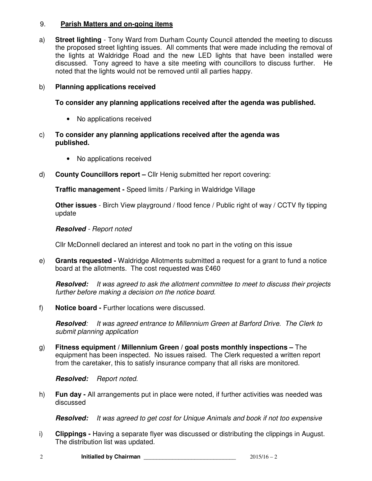## 9. **Parish Matters and on-going items**

a) **Street lighting** - Tony Ward from Durham County Council attended the meeting to discuss the proposed street lighting issues. All comments that were made including the removal of the lights at Waldridge Road and the new LED lights that have been installed were discussed. Tony agreed to have a site meeting with councillors to discuss further. He noted that the lights would not be removed until all parties happy.

## b) **Planning applications received**

## **To consider any planning applications received after the agenda was published.**

- No applications received
- c) **To consider any planning applications received after the agenda was published.** 
	- No applications received
- d) **County Councillors report** Cllr Henig submitted her report covering:

**Traffic management -** Speed limits / Parking in Waldridge Village

**Other issues** - Birch View playground / flood fence / Public right of way / CCTV fly tipping update

### **Resolved** *- Report noted*

Cllr McDonnell declared an interest and took no part in the voting on this issue

e) **Grants requested -** Waldridge Allotments submitted a request for a grant to fund a notice board at the allotments. The cost requested was £460

**Resolved:** *It was agreed to ask the allotment committee to meet to discuss their projects further before making a decision on the notice board.* 

f) **Notice board -** Further locations were discussed.

**Resolved***: It was agreed entrance to Millennium Green at Barford Drive. The Clerk to submit planning application* 

g) **Fitness equipment / Millennium Green / goal posts monthly inspections –** The equipment has been inspected. No issues raised. The Clerk requested a written report from the caretaker, this to satisfy insurance company that all risks are monitored.

### **Resolved:** *Report noted.*

h) **Fun day -** All arrangements put in place were noted, if further activities was needed was discussed

**Resolved:** *It was agreed to get cost for Unique Animals and book if not too expensive* 

i) **Clippings -** Having a separate flyer was discussed or distributing the clippings in August. The distribution list was updated.

| Initialled by Chairman | $2015/16 - 2$ |
|------------------------|---------------|
|                        |               |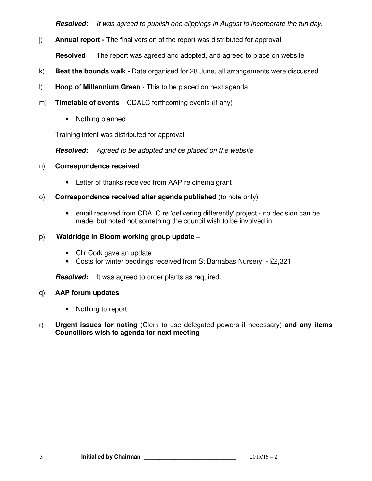**Resolved:** *It was agreed to publish one clippings in August to incorporate the fun day.* 

- j) **Annual report** The final version of the report was distributed for approval **Resolved** The report was agreed and adopted, and agreed to place on website
- k) **Beat the bounds walk** Date organised for 28 June, all arrangements were discussed
- l) **Hoop of Millennium Green**  This to be placed on next agenda.
- m) **Timetable of events** CDALC forthcoming events (if any)
	- Nothing planned

Training intent was distributed for approval

**Resolved:** *Agreed to be adopted and be placed on the website* 

### n) **Correspondence received**

- Letter of thanks received from AAP re cinema grant
- o) **Correspondence received after agenda published** (to note only)
	- email received from CDALC re 'delivering differently' project no decision can be made, but noted not something the council wish to be involved in.

### p) **Waldridge in Bloom working group update –**

- Cllr Cork gave an update
- Costs for winter beddings received from St Barnabas Nursery £2,321

**Resolved:** It was agreed to order plants as required.

### q) **AAP forum updates** –

- Nothing to report
- r) **Urgent issues for noting** (Clerk to use delegated powers if necessary) **and any items Councillors wish to agenda for next meeting**